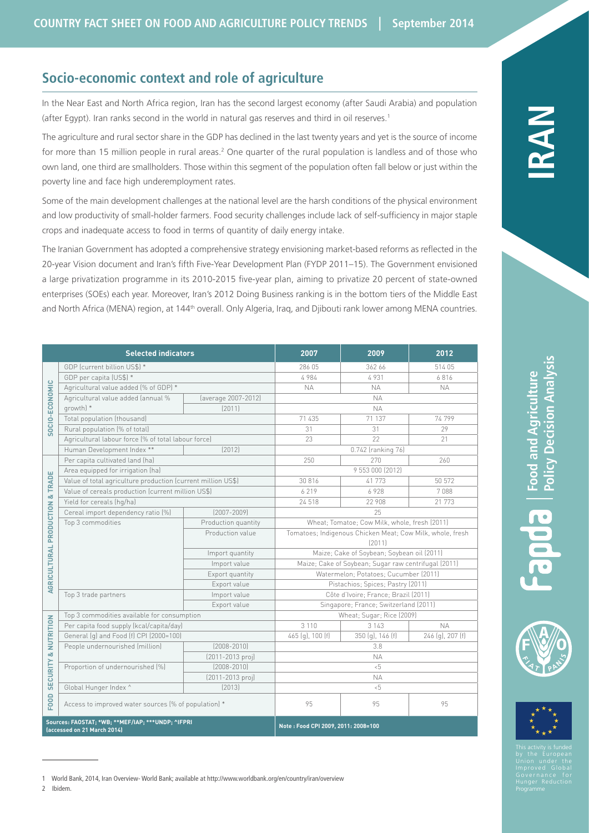# **Socio-economic context and role of agriculture**

In the Near East and North Africa region, Iran has the second largest economy (after Saudi Arabia) and population (after Egypt). Iran ranks second in the world in natural gas reserves and third in oil reserves.<sup>1</sup>

The agriculture and rural sector share in the GDP has declined in the last twenty years and yet is the source of income for more than 15 million people in rural areas.<sup>2</sup> One quarter of the rural population is landless and of those who own land, one third are smallholders. Those within this segment of the population often fall below or just within the poverty line and face high underemployment rates.

Some of the main development challenges at the national level are the harsh conditions of the physical environment and low productivity of small-holder farmers. Food security challenges include lack of self-sufficiency in major staple crops and inadequate access to food in terms of quantity of daily energy intake.

The Iranian Government has adopted a comprehensive strategy envisioning market-based reforms as reflected in the 20-year Vision document and Iran's fifth Five-Year Development Plan (FYDP 2011–15). The Government envisioned a large privatization programme in its 2010-2015 five-year plan, aiming to privatize 20 percent of state-owned enterprises (SOEs) each year. Moreover, Iran's 2012 Doing Business ranking is in the bottom tiers of the Middle East and North Africa (MENA) region, at 144<sup>th</sup> overall. Only Algeria, Iraq, and Djibouti rank lower among MENA countries.

| <b>Selected indicators</b>                                                       |                                                              |                     | 2007                                                      | 2009             | 2012             |
|----------------------------------------------------------------------------------|--------------------------------------------------------------|---------------------|-----------------------------------------------------------|------------------|------------------|
| SOCIO-ECONOMIC                                                                   | GDP (current billion US\$) *                                 |                     | 286 05                                                    | 362 66           | 514 05           |
|                                                                                  | GDP per capita (US\$) *                                      |                     | 4984                                                      | 4931             | 6816             |
|                                                                                  | Agricultural value added (% of GDP) *                        |                     | <b>NA</b>                                                 | <b>NA</b>        | <b>NA</b>        |
|                                                                                  | Agricultural value added (annual %                           | (average 2007-2012) |                                                           | <b>NA</b>        |                  |
|                                                                                  | growth) *                                                    | (2011)              | <b>NA</b>                                                 |                  |                  |
|                                                                                  | Total population (thousand)                                  |                     | 71 435                                                    | 71 137           | 74799            |
|                                                                                  | Rural population (% of total)                                |                     | 31                                                        | 31               | 29               |
|                                                                                  | Agricultural labour force (% of total labour force)          |                     | 23                                                        | 22               | 21               |
|                                                                                  | Human Development Index **<br>[2012]                         |                     | 0.742 (ranking 76)                                        |                  |                  |
| & TRADE<br>AGRICULTURAL PRODUCTION                                               | Per capita cultivated land (ha)                              |                     | 250                                                       | 270              | 260              |
|                                                                                  | Area equipped for irrigation (ha)                            |                     | 9 553 000 (2012)                                          |                  |                  |
|                                                                                  | Value of total agriculture production (current million US\$) |                     | 30816                                                     | 41 773           | 50 572           |
|                                                                                  | Value of cereals production (current million US\$)           |                     | 6 2 1 9                                                   | 6928             | 7088             |
|                                                                                  | Yield for cereals (hq/ha)                                    |                     | 24 518                                                    | 22 908           | 21 773           |
|                                                                                  | Cereal import dependency ratio (%)                           | $[2007 - 2009]$     | 25                                                        |                  |                  |
|                                                                                  | Top 3 commodities                                            | Production quantity | Wheat; Tomatoe; Cow Milk, whole, fresh (2011)             |                  |                  |
|                                                                                  |                                                              | Production value    | Tomatoes; Indigenous Chicken Meat; Cow Milk, whole, fresh |                  |                  |
|                                                                                  |                                                              |                     | [2011]                                                    |                  |                  |
|                                                                                  |                                                              | Import quantity     | Maize; Cake of Soybean; Soybean oil (2011)                |                  |                  |
|                                                                                  |                                                              | Import value        | Maize; Cake of Soybean; Sugar raw centrifugal (2011)      |                  |                  |
|                                                                                  |                                                              | Export quantity     | Watermelon; Potatoes; Cucumber (2011)                     |                  |                  |
|                                                                                  |                                                              | Export value        | Pistachios; Spices; Pastry (2011)                         |                  |                  |
|                                                                                  | Top 3 trade partners                                         | Import value        | Côte d'Ivoire; France; Brazil (2011)                      |                  |                  |
|                                                                                  |                                                              | Export value        | Singapore; France; Switzerland (2011)                     |                  |                  |
| NUTRITION<br>$\overline{\mathbf{z}}$<br><b>SECURITY</b>                          | Top 3 commodities available for consumption                  |                     | Wheat; Sugar; Rice (2009)                                 |                  |                  |
|                                                                                  | Per capita food supply (kcal/capita/day)                     |                     | 3 1 1 0                                                   | 3 1 4 3          | <b>NA</b>        |
|                                                                                  | General (q) and Food (f) CPI (2000=100)                      |                     | 465 (g), 100 (f)                                          | 350 (g), 146 (f) | 246 (g), 207 (f) |
|                                                                                  | People undernourished (million)                              | $(2008 - 2010)$     | 3.8                                                       |                  |                  |
|                                                                                  |                                                              | [2011-2013 proj]    | <b>NA</b>                                                 |                  |                  |
|                                                                                  | Proportion of undernourished (%)                             | $[2008 - 2010]$     | $5 - 5$                                                   |                  |                  |
|                                                                                  | (2011-2013 proj)                                             |                     | ΝA.                                                       |                  |                  |
|                                                                                  | Global Hunger Index ^                                        | [2013]              | $5 - 5$                                                   |                  |                  |
| FOOD                                                                             | Access to improved water sources (% of population) *         |                     | 95                                                        | 95               | 95               |
| Sources: FAOSTAT; *WB; **MEF/IAP; ***UNDP; ^IFPRI<br>(accessed on 21 March 2014) |                                                              |                     | Note: Food CPI 2009, 2011: 2008=100                       |                  |                  |

1 World Bank, 2014, Iran Overview- World Bank; available at<http://www.worldbank.org/en/country/iran/overview>

**Food and** 

**Policy** 

**Decision** 

**Analysis**

**Agriculture** 

Food and Agriculture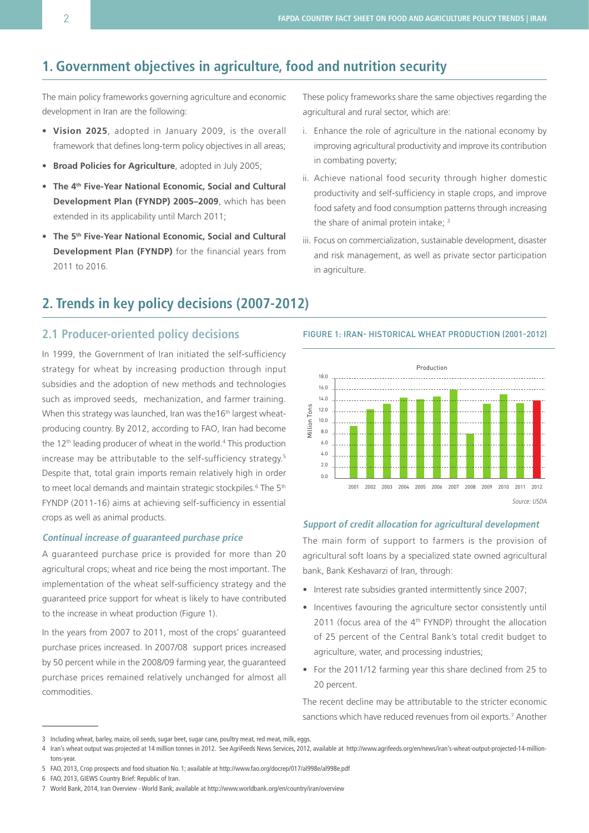## **1. Government objectives in agriculture, food and nutrition security**

The main policy frameworks governing agriculture and economic development in Iran are the following:

- **• Vision 2025**, adopted in January 2009, is the overall framework that defines long-term policy objectives in all areas;
- **Broad Policies for Agriculture**, adopted in July 2005;
- **• The 4th Five-Year National Economic, Social and Cultural Development Plan (FYNDP) 2005–2009**, which has been extended in its applicability until March 2011;
- **• The 5th Five-Year National Economic, Social and Cultural Development Plan (FYNDP)** for the financial years from 2011 to 2016.

**2. Trends in key policy decisions (2007-2012)**

## **2.1 Producer-oriented policy decisions**

In 1999, the Government of Iran initiated the self-sufficiency strategy for wheat by increasing production through input subsidies and the adoption of new methods and technologies such as improved seeds, mechanization, and farmer training. When this strategy was launched, Iran was the  $16<sup>th</sup>$  largest wheatproducing country. By 2012, according to FAO, Iran had become the 12<sup>th</sup> leading producer of wheat in the world.<sup>4</sup> This production increase may be attributable to the self-sufficiency strategy.5 Despite that, total grain imports remain relatively high in order to meet local demands and maintain strategic stockpiles.<sup>6</sup> The 5<sup>th</sup> FYNDP (2011-16) aims at achieving self-sufficiency in essential crops as well as animal products.

#### **Continual increase of guaranteed purchase price**

A guaranteed purchase price is provided for more than 20 agricultural crops; wheat and rice being the most important. The implementation of the wheat self-sufficiency strategy and the guaranteed price support for wheat is likely to have contributed to the increase in wheat production (Figure 1).

In the years from 2007 to 2011, most of the crops' guaranteed purchase prices increased. In 2007/08 support prices increased by 50 percent while in the 2008/09 farming year, the guaranteed purchase prices remained relatively unchanged for almost all commodities.

These policy frameworks share the same objectives regarding the agricultural and rural sector, which are:

- i. Enhance the role of agriculture in the national economy by improving agricultural productivity and improve its contribution in combating poverty;
- ii. Achieve national food security through higher domestic productivity and self-sufficiency in staple crops, and improve food safety and food consumption patterns through increasing the share of animal protein intake; <sup>3</sup>
- iii. Focus on commercialization, sustainable development, disaster and risk management, as well as private sector participation in agriculture.

Figure 1: Iran- Historical Wheat Production (2001-2012)





### **Support of credit allocation for agricultural development**

The main form of support to farmers is the provision of agricultural soft loans by a specialized state owned agricultural bank, Bank Keshavarzi of Iran, through:

- Interest rate subsidies granted intermittently since 2007;
- Incentives favouring the agriculture sector consistently until 2011 (focus area of the  $4<sup>th</sup>$  FYNDP) throught the allocation of 25 percent of the Central Bank's total credit budget to agriculture, water, and processing industries;
- For the 2011/12 farming year this share declined from 25 to 20 percent.

The recent decline may be attributable to the stricter economic sanctions which have reduced revenues from oil exports.<sup>7</sup> Another

<sup>3</sup> Including wheat, barley, maize, oil seeds, sugar beet, sugar cane, poultry meat, red meat, milk, eggs.

<sup>4</sup> Iran's wheat output was projected at 14 million tonnes in 2012. See AgriFeeds News Services, 2012, available at [http://www.agrifeeds.org/en/news/iran's-wheat-output-projected-14-million](http://www.agrifeeds.org/en/news/iran%E2%80%99s-wheat-output-projected-14-million-tons-year)[tons-year](http://www.agrifeeds.org/en/news/iran%E2%80%99s-wheat-output-projected-14-million-tons-year).

<sup>5</sup> FAO, 2013, Crop prospects and food situation No. 1; available at <http://www.fao.org/docrep/017/al998e/al998e.pdf>

<sup>6</sup> FAO, 2013, GIEWS Country Brief: Republic of Iran.

<sup>7</sup> World Bank, 2014, Iran Overview - World Bank; available at <http://www.worldbank.org/en/country/iran/overview>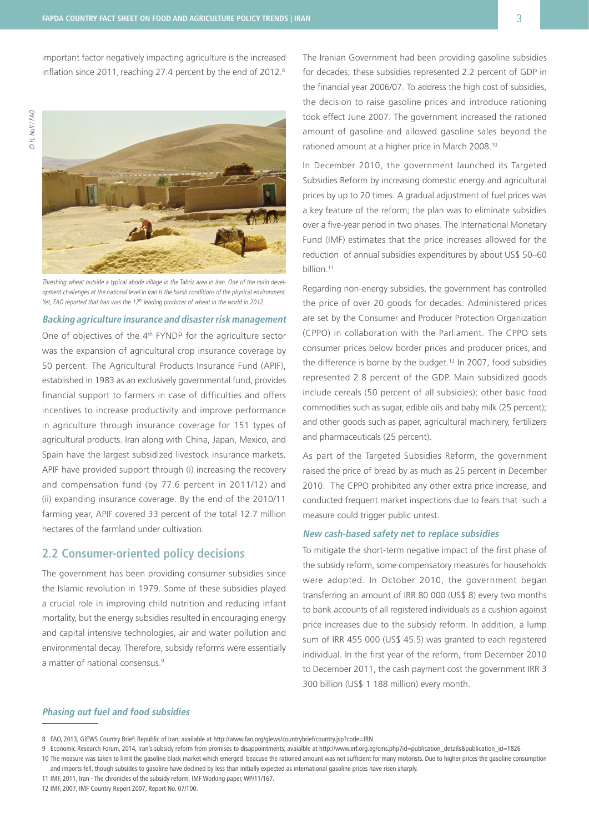

Threshing wheat outside a typical abode village in the Tabriz area in Iran. One of the main development challenges at the national level in Iran is the harsh conditions of the physical environment. Yet, FAO reported that Iran was the 12<sup>th</sup> leading producer of wheat in the world in 2012.

#### **Backing agriculture insurance and disaster risk management**

One of objectives of the 4<sup>th</sup> FYNDP for the agriculture sector was the expansion of agricultural crop insurance coverage by 50 percent. The Agricultural Products Insurance Fund (APIF), established in 1983 as an exclusively governmental fund, provides financial support to farmers in case of difficulties and offers incentives to increase productivity and improve performance in agriculture through insurance coverage for 151 types of agricultural products. Iran along with China, Japan, Mexico, and Spain have the largest subsidized livestock insurance markets. APIF have provided support through (i) increasing the recovery and compensation fund (by 77.6 percent in 2011/12) and (ii) expanding insurance coverage. By the end of the 2010/11 farming year, APIF covered 33 percent of the total 12.7 million hectares of the farmland under cultivation.

## **2.2 Consumer-oriented policy decisions**

The government has been providing consumer subsidies since the Islamic revolution in 1979. Some of these subsidies played a crucial role in improving child nutrition and reducing infant mortality, but the energy subsidies resulted in encouraging energy and capital intensive technologies, air and water pollution and environmental decay. Therefore, subsidy reforms were essentially a matter of national consensus.<sup>9</sup>

The Iranian Government had been providing gasoline subsidies for decades; these subsidies represented 2.2 percent of GDP in the financial year 2006/07. To address the high cost of subsidies, the decision to raise gasoline prices and introduce rationing took effect June 2007. The government increased the rationed amount of gasoline and allowed gasoline sales beyond the rationed amount at a higher price in March 2008.10

In December 2010, the government launched its Targeted Subsidies Reform by increasing domestic energy and agricultural prices by up to 20 times. A gradual adjustment of fuel prices was a key feature of the reform; the plan was to eliminate subsidies over a five-year period in two phases. The International Monetary Fund (IMF) estimates that the price increases allowed for the reduction of annual subsidies expenditures by about US\$ 50–60 billion.<sup>11</sup>

Regarding non-energy subsidies, the government has controlled the price of over 20 goods for decades. Administered prices are set by the Consumer and Producer Protection Organization (CPPO) in collaboration with the Parliament. The CPPO sets consumer prices below border prices and producer prices, and the difference is borne by the budget.12 In 2007, food subsidies represented 2.8 percent of the GDP. Main subsidized goods include cereals (50 percent of all subsidies); other basic food commodities such as sugar, edible oils and baby milk (25 percent); and other goods such as paper, agricultural machinery, fertilizers and pharmaceuticals (25 percent).

As part of the Targeted Subsidies Reform, the government raised the price of bread by as much as 25 percent in December 2010. The CPPO prohibited any other extra price increase, and conducted frequent market inspections due to fears that such a measure could trigger public unrest.

#### **New cash-based safety net to replace subsidies**

To mitigate the short-term negative impact of the first phase of the subsidy reform, some compensatory measures for households were adopted. In October 2010, the government began transferring an amount of IRR 80 000 (US\$ 8) every two months to bank accounts of all registered individuals as a cushion against price increases due to the subsidy reform. In addition, a lump sum of IRR 455 000 (US\$ 45.5) was granted to each registered individual. In the first year of the reform, from December 2010 to December 2011, the cash payment cost the government IRR 3 300 billion (US\$ 1 188 million) every month.

#### **Phasing out fuel and food subsidies**

- 8 FAO, 2013, GIEWS Country Brief: Republic of Iran; available at [http://www.fao.org/giews/countrybrief/country.jsp?code=IRN](http://www.fao.org/giews/countrybrief/country.jsp%3Fcode%3DIRN)
- 9 Economic Research Forum, 2014, Iran's subsidy reform from promises to disappointments; avaialble at [http://www.erf.org.eg/cms.php?id=publication\\_details&publication\\_id=1826](http://www.erf.org.eg/cms.php?id=publication_details&publication_id=1826)
- 10 The measure was taken to limit the gasoline black market which emerged beacuse the rationed amount was not sufficient for many motorists. Due to higher prices the gasoline consumption and imports fell, though subsides to gasoline have declined by less than initially expected as international gasoline prices have risen sharply.
- 11 IMF, 2011, Iran The chronicles of the subsidy reform, IMF Working paper, WP/11/167.
- 12 IMF, 2007, IMF Country Report 2007, Report No. 07/100.